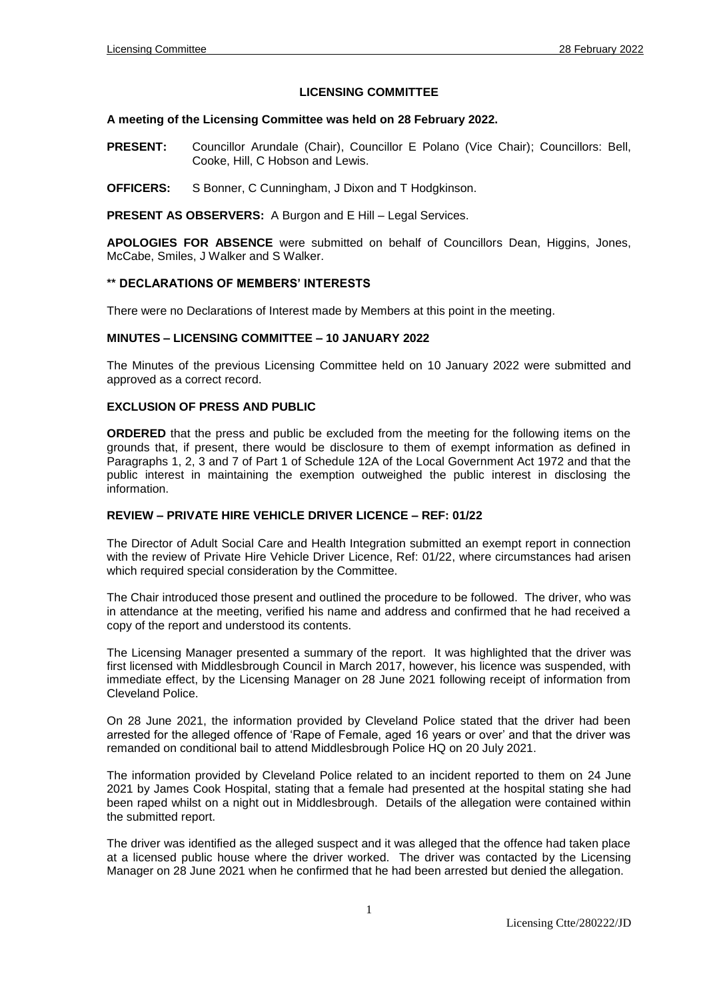# **LICENSING COMMITTEE**

#### **A meeting of the Licensing Committee was held on 28 February 2022.**

- **PRESENT:** Councillor Arundale (Chair), Councillor E Polano (Vice Chair); Councillors: Bell, Cooke, Hill, C Hobson and Lewis.
- **OFFICERS:** S Bonner, C Cunningham, J Dixon and T Hodgkinson.

**PRESENT AS OBSERVERS:** A Burgon and E Hill – Legal Services.

**APOLOGIES FOR ABSENCE** were submitted on behalf of Councillors Dean, Higgins, Jones, McCabe, Smiles, J Walker and S Walker.

### **\*\* DECLARATIONS OF MEMBERS' INTERESTS**

There were no Declarations of Interest made by Members at this point in the meeting.

#### **MINUTES – LICENSING COMMITTEE – 10 JANUARY 2022**

The Minutes of the previous Licensing Committee held on 10 January 2022 were submitted and approved as a correct record.

#### **EXCLUSION OF PRESS AND PUBLIC**

**ORDERED** that the press and public be excluded from the meeting for the following items on the grounds that, if present, there would be disclosure to them of exempt information as defined in Paragraphs 1, 2, 3 and 7 of Part 1 of Schedule 12A of the Local Government Act 1972 and that the public interest in maintaining the exemption outweighed the public interest in disclosing the information.

# **REVIEW – PRIVATE HIRE VEHICLE DRIVER LICENCE – REF: 01/22**

The Director of Adult Social Care and Health Integration submitted an exempt report in connection with the review of Private Hire Vehicle Driver Licence, Ref: 01/22, where circumstances had arisen which required special consideration by the Committee.

The Chair introduced those present and outlined the procedure to be followed. The driver, who was in attendance at the meeting, verified his name and address and confirmed that he had received a copy of the report and understood its contents.

The Licensing Manager presented a summary of the report. It was highlighted that the driver was first licensed with Middlesbrough Council in March 2017, however, his licence was suspended, with immediate effect, by the Licensing Manager on 28 June 2021 following receipt of information from Cleveland Police.

On 28 June 2021, the information provided by Cleveland Police stated that the driver had been arrested for the alleged offence of 'Rape of Female, aged 16 years or over' and that the driver was remanded on conditional bail to attend Middlesbrough Police HQ on 20 July 2021.

The information provided by Cleveland Police related to an incident reported to them on 24 June 2021 by James Cook Hospital, stating that a female had presented at the hospital stating she had been raped whilst on a night out in Middlesbrough. Details of the allegation were contained within the submitted report.

The driver was identified as the alleged suspect and it was alleged that the offence had taken place at a licensed public house where the driver worked. The driver was contacted by the Licensing Manager on 28 June 2021 when he confirmed that he had been arrested but denied the allegation.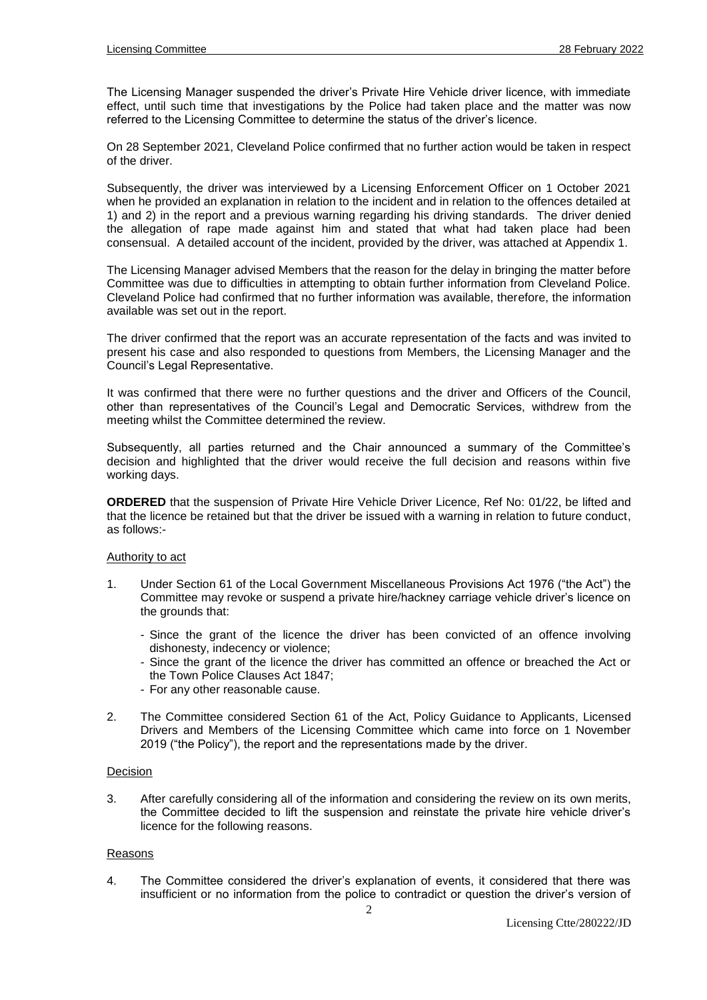The Licensing Manager suspended the driver's Private Hire Vehicle driver licence, with immediate effect, until such time that investigations by the Police had taken place and the matter was now referred to the Licensing Committee to determine the status of the driver's licence.

On 28 September 2021, Cleveland Police confirmed that no further action would be taken in respect of the driver.

Subsequently, the driver was interviewed by a Licensing Enforcement Officer on 1 October 2021 when he provided an explanation in relation to the incident and in relation to the offences detailed at 1) and 2) in the report and a previous warning regarding his driving standards. The driver denied the allegation of rape made against him and stated that what had taken place had been consensual. A detailed account of the incident, provided by the driver, was attached at Appendix 1.

The Licensing Manager advised Members that the reason for the delay in bringing the matter before Committee was due to difficulties in attempting to obtain further information from Cleveland Police. Cleveland Police had confirmed that no further information was available, therefore, the information available was set out in the report.

The driver confirmed that the report was an accurate representation of the facts and was invited to present his case and also responded to questions from Members, the Licensing Manager and the Council's Legal Representative.

It was confirmed that there were no further questions and the driver and Officers of the Council, other than representatives of the Council's Legal and Democratic Services, withdrew from the meeting whilst the Committee determined the review.

Subsequently, all parties returned and the Chair announced a summary of the Committee's decision and highlighted that the driver would receive the full decision and reasons within five working days.

**ORDERED** that the suspension of Private Hire Vehicle Driver Licence, Ref No: 01/22, be lifted and that the licence be retained but that the driver be issued with a warning in relation to future conduct, as follows:-

### Authority to act

- 1. Under Section 61 of the Local Government Miscellaneous Provisions Act 1976 ("the Act") the Committee may revoke or suspend a private hire/hackney carriage vehicle driver's licence on the grounds that:
	- Since the grant of the licence the driver has been convicted of an offence involving dishonesty, indecency or violence;
	- Since the grant of the licence the driver has committed an offence or breached the Act or the Town Police Clauses Act 1847;
	- For any other reasonable cause.
- 2. The Committee considered Section 61 of the Act, Policy Guidance to Applicants, Licensed Drivers and Members of the Licensing Committee which came into force on 1 November 2019 ("the Policy"), the report and the representations made by the driver.

### Decision

3. After carefully considering all of the information and considering the review on its own merits, the Committee decided to lift the suspension and reinstate the private hire vehicle driver's licence for the following reasons.

### Reasons

4. The Committee considered the driver's explanation of events, it considered that there was insufficient or no information from the police to contradict or question the driver's version of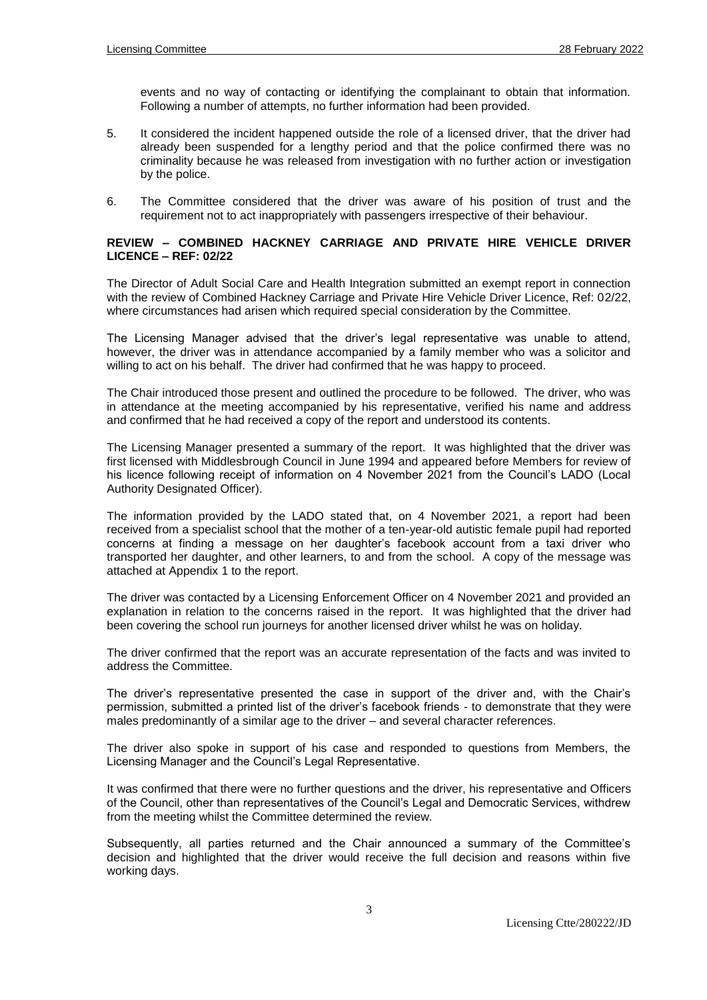events and no way of contacting or identifying the complainant to obtain that information. Following a number of attempts, no further information had been provided.

- 5. It considered the incident happened outside the role of a licensed driver, that the driver had already been suspended for a lengthy period and that the police confirmed there was no criminality because he was released from investigation with no further action or investigation by the police.
- 6. The Committee considered that the driver was aware of his position of trust and the requirement not to act inappropriately with passengers irrespective of their behaviour.

# **REVIEW – COMBINED HACKNEY CARRIAGE AND PRIVATE HIRE VEHICLE DRIVER LICENCE – REF: 02/22**

The Director of Adult Social Care and Health Integration submitted an exempt report in connection with the review of Combined Hackney Carriage and Private Hire Vehicle Driver Licence, Ref: 02/22, where circumstances had arisen which required special consideration by the Committee.

The Licensing Manager advised that the driver's legal representative was unable to attend, however, the driver was in attendance accompanied by a family member who was a solicitor and willing to act on his behalf. The driver had confirmed that he was happy to proceed.

The Chair introduced those present and outlined the procedure to be followed. The driver, who was in attendance at the meeting accompanied by his representative, verified his name and address and confirmed that he had received a copy of the report and understood its contents.

The Licensing Manager presented a summary of the report. It was highlighted that the driver was first licensed with Middlesbrough Council in June 1994 and appeared before Members for review of his licence following receipt of information on 4 November 2021 from the Council's LADO (Local Authority Designated Officer).

The information provided by the LADO stated that, on 4 November 2021, a report had been received from a specialist school that the mother of a ten-year-old autistic female pupil had reported concerns at finding a message on her daughter's facebook account from a taxi driver who transported her daughter, and other learners, to and from the school. A copy of the message was attached at Appendix 1 to the report.

The driver was contacted by a Licensing Enforcement Officer on 4 November 2021 and provided an explanation in relation to the concerns raised in the report. It was highlighted that the driver had been covering the school run journeys for another licensed driver whilst he was on holiday.

The driver confirmed that the report was an accurate representation of the facts and was invited to address the Committee.

The driver's representative presented the case in support of the driver and, with the Chair's permission, submitted a printed list of the driver's facebook friends - to demonstrate that they were males predominantly of a similar age to the driver – and several character references.

The driver also spoke in support of his case and responded to questions from Members, the Licensing Manager and the Council's Legal Representative.

It was confirmed that there were no further questions and the driver, his representative and Officers of the Council, other than representatives of the Council's Legal and Democratic Services, withdrew from the meeting whilst the Committee determined the review.

Subsequently, all parties returned and the Chair announced a summary of the Committee's decision and highlighted that the driver would receive the full decision and reasons within five working days.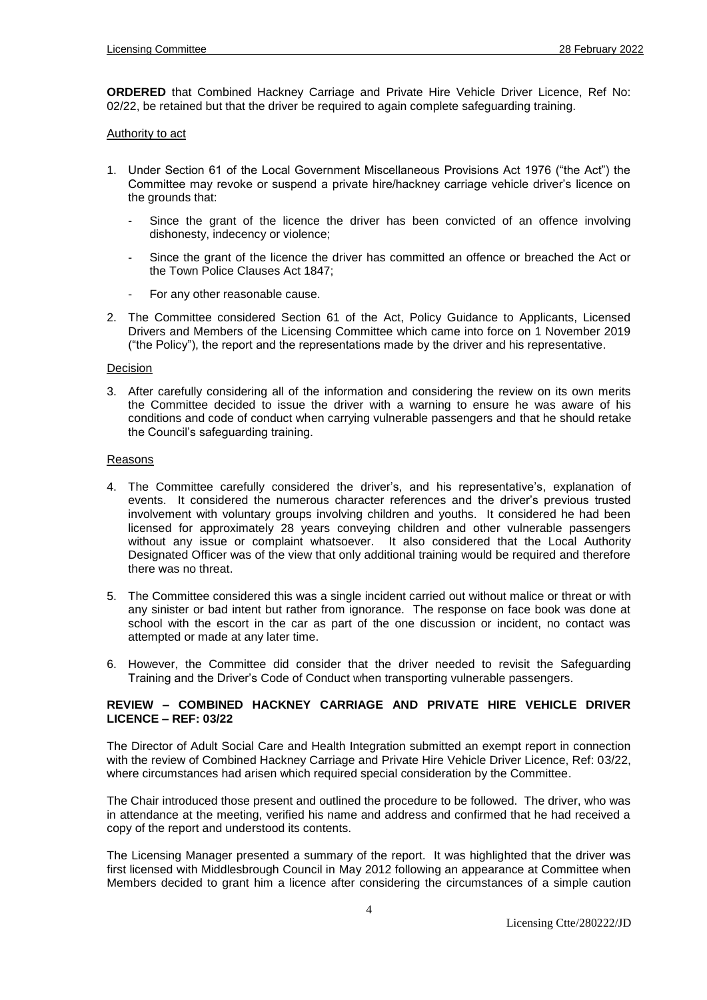**ORDERED** that Combined Hackney Carriage and Private Hire Vehicle Driver Licence, Ref No: 02/22, be retained but that the driver be required to again complete safequarding training.

### Authority to act

- 1. Under Section 61 of the Local Government Miscellaneous Provisions Act 1976 ("the Act") the Committee may revoke or suspend a private hire/hackney carriage vehicle driver's licence on the grounds that:
	- Since the grant of the licence the driver has been convicted of an offence involving dishonesty, indecency or violence;
	- Since the grant of the licence the driver has committed an offence or breached the Act or the Town Police Clauses Act 1847;
	- For any other reasonable cause.
- 2. The Committee considered Section 61 of the Act, Policy Guidance to Applicants, Licensed Drivers and Members of the Licensing Committee which came into force on 1 November 2019 ("the Policy"), the report and the representations made by the driver and his representative.

#### Decision

3. After carefully considering all of the information and considering the review on its own merits the Committee decided to issue the driver with a warning to ensure he was aware of his conditions and code of conduct when carrying vulnerable passengers and that he should retake the Council's safeguarding training.

#### Reasons

- 4. The Committee carefully considered the driver's, and his representative's, explanation of events. It considered the numerous character references and the driver's previous trusted involvement with voluntary groups involving children and youths. It considered he had been licensed for approximately 28 years conveying children and other vulnerable passengers without any issue or complaint whatsoever. It also considered that the Local Authority Designated Officer was of the view that only additional training would be required and therefore there was no threat.
- 5. The Committee considered this was a single incident carried out without malice or threat or with any sinister or bad intent but rather from ignorance. The response on face book was done at school with the escort in the car as part of the one discussion or incident, no contact was attempted or made at any later time.
- 6. However, the Committee did consider that the driver needed to revisit the Safeguarding Training and the Driver's Code of Conduct when transporting vulnerable passengers.

### **REVIEW – COMBINED HACKNEY CARRIAGE AND PRIVATE HIRE VEHICLE DRIVER LICENCE – REF: 03/22**

The Director of Adult Social Care and Health Integration submitted an exempt report in connection with the review of Combined Hackney Carriage and Private Hire Vehicle Driver Licence, Ref: 03/22, where circumstances had arisen which required special consideration by the Committee.

The Chair introduced those present and outlined the procedure to be followed. The driver, who was in attendance at the meeting, verified his name and address and confirmed that he had received a copy of the report and understood its contents.

The Licensing Manager presented a summary of the report. It was highlighted that the driver was first licensed with Middlesbrough Council in May 2012 following an appearance at Committee when Members decided to grant him a licence after considering the circumstances of a simple caution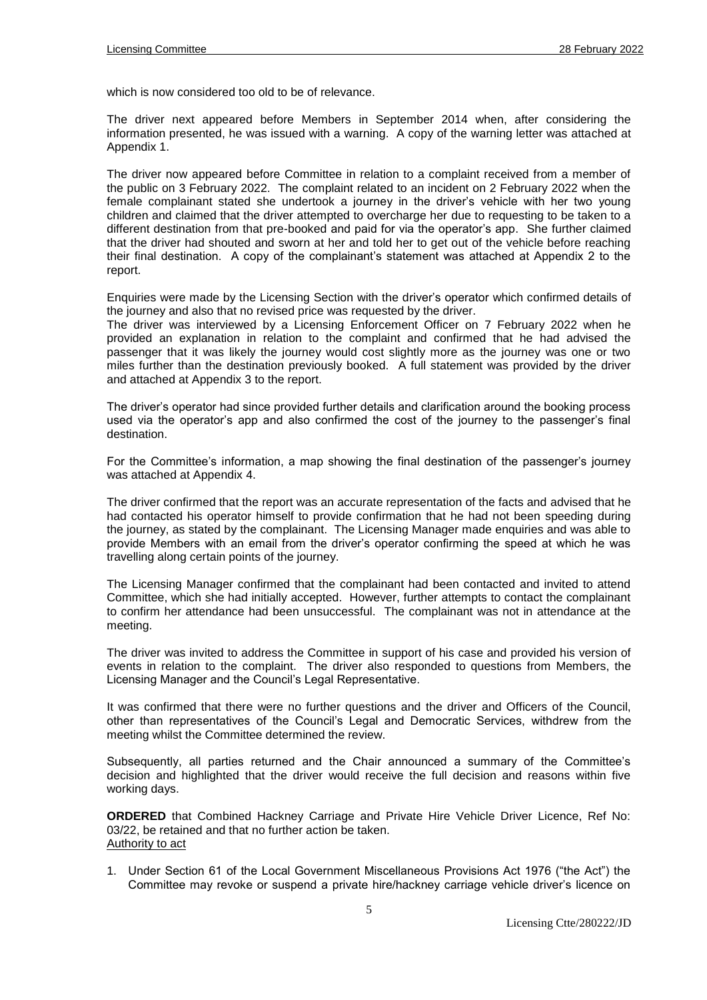which is now considered too old to be of relevance.

The driver next appeared before Members in September 2014 when, after considering the information presented, he was issued with a warning. A copy of the warning letter was attached at Appendix 1.

The driver now appeared before Committee in relation to a complaint received from a member of the public on 3 February 2022. The complaint related to an incident on 2 February 2022 when the female complainant stated she undertook a journey in the driver's vehicle with her two young children and claimed that the driver attempted to overcharge her due to requesting to be taken to a different destination from that pre-booked and paid for via the operator's app. She further claimed that the driver had shouted and sworn at her and told her to get out of the vehicle before reaching their final destination. A copy of the complainant's statement was attached at Appendix 2 to the report.

Enquiries were made by the Licensing Section with the driver's operator which confirmed details of the journey and also that no revised price was requested by the driver.

The driver was interviewed by a Licensing Enforcement Officer on 7 February 2022 when he provided an explanation in relation to the complaint and confirmed that he had advised the passenger that it was likely the journey would cost slightly more as the journey was one or two miles further than the destination previously booked. A full statement was provided by the driver and attached at Appendix 3 to the report.

The driver's operator had since provided further details and clarification around the booking process used via the operator's app and also confirmed the cost of the journey to the passenger's final destination.

For the Committee's information, a map showing the final destination of the passenger's journey was attached at Appendix 4.

The driver confirmed that the report was an accurate representation of the facts and advised that he had contacted his operator himself to provide confirmation that he had not been speeding during the journey, as stated by the complainant. The Licensing Manager made enquiries and was able to provide Members with an email from the driver's operator confirming the speed at which he was travelling along certain points of the journey.

The Licensing Manager confirmed that the complainant had been contacted and invited to attend Committee, which she had initially accepted. However, further attempts to contact the complainant to confirm her attendance had been unsuccessful. The complainant was not in attendance at the meeting.

The driver was invited to address the Committee in support of his case and provided his version of events in relation to the complaint. The driver also responded to questions from Members, the Licensing Manager and the Council's Legal Representative.

It was confirmed that there were no further questions and the driver and Officers of the Council, other than representatives of the Council's Legal and Democratic Services, withdrew from the meeting whilst the Committee determined the review.

Subsequently, all parties returned and the Chair announced a summary of the Committee's decision and highlighted that the driver would receive the full decision and reasons within five working days.

**ORDERED** that Combined Hackney Carriage and Private Hire Vehicle Driver Licence, Ref No: 03/22, be retained and that no further action be taken. Authority to act

1. Under Section 61 of the Local Government Miscellaneous Provisions Act 1976 ("the Act") the Committee may revoke or suspend a private hire/hackney carriage vehicle driver's licence on